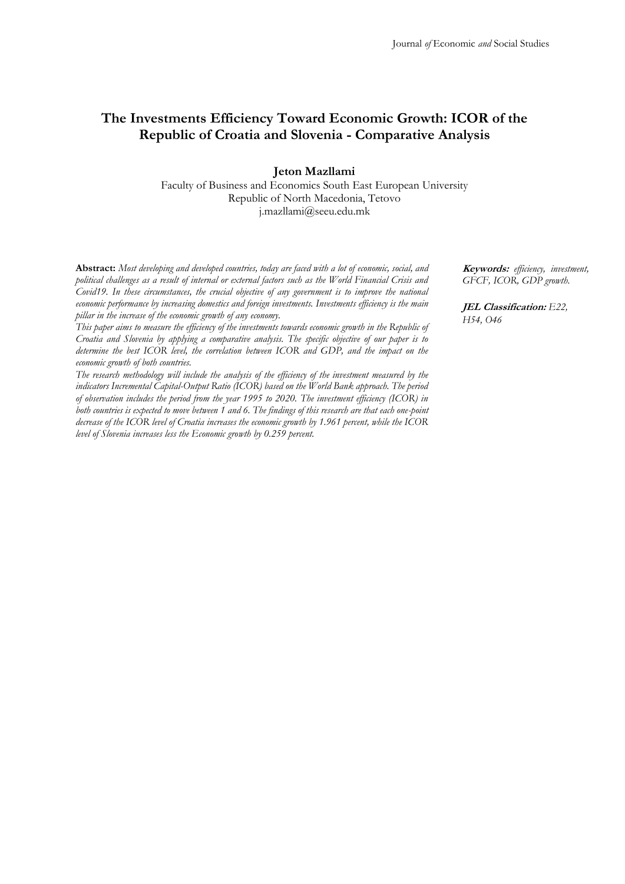# **The Investments Efficiency Toward Economic Growth: ICOR of the Republic of Croatia and Slovenia - Comparative Analysis**

**Jeton Mazllami**

Faculty of Business and Economics South East European University Republic of North Macedonia, Tetovo j.mazllami@seeu.edu.mk

**Abstract:** *Most developing and developed countries, today are faced with a lot of economic, social, and political challenges as a result of internal or external factors such as the World Financial Crisis and Covid19. In these circumstances, the crucial objective of any government is to improve the national economic performance by increasing domestics and foreign investments. Investments efficiency is the main pillar in the increase of the economic growth of any economy.*

*This paper aims to measure the efficiency of the investments towards economic growth in the Republic of Croatia and Slovenia by applying a comparative analysis. The specific objective of our paper is to*  determine the best ICOR level, the correlation between ICOR and GDP, and the impact on the *economic growth of both countries.* 

*The research methodology will include the analysis of the efficiency of the investment measured by the indicators Incremental Capital-Output Ratio (ICOR) based on the World Bank approach. The period of observation includes the period from the year 1995 to 2020. The investment efficiency (ICOR) in both countries is expected to move between 1 and 6. The findings of this research are that each one-point decrease of the ICOR level of Croatia increases the economic growth by 1.961 percent, while the ICOR level of Slovenia increases less the Economic growth by 0.259 percent.*

**Keywords:** *efficiency, investment, GFCF, ICOR, GDP growth.*

**JEL Classification:** *E22, H54, O46*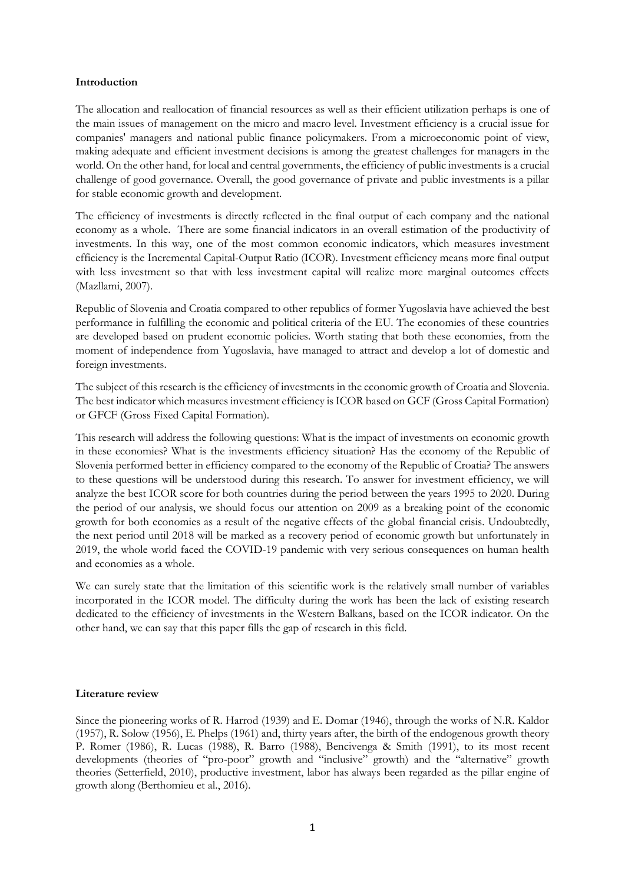#### **Introduction**

The allocation and reallocation of financial resources as well as their efficient utilization perhaps is one of the main issues of management on the micro and macro level. Investment efficiency is a crucial issue for companies' managers and national public finance policymakers. From a microeconomic point of view, making adequate and efficient investment decisions is among the greatest challenges for managers in the world. On the other hand, for local and central governments, the efficiency of public investments is a crucial challenge of good governance. Overall, the good governance of private and public investments is a pillar for stable economic growth and development.

The efficiency of investments is directly reflected in the final output of each company and the national economy as a whole. There are some financial indicators in an overall estimation of the productivity of investments. In this way, one of the most common economic indicators, which measures investment efficiency is the Incremental Capital-Output Ratio (ICOR). Investment efficiency means more final output with less investment so that with less investment capital will realize more marginal outcomes effects (Mazllami, 2007).

Republic of Slovenia and Croatia compared to other republics of former Yugoslavia have achieved the best performance in fulfilling the economic and political criteria of the EU. The economies of these countries are developed based on prudent economic policies. Worth stating that both these economies, from the moment of independence from Yugoslavia, have managed to attract and develop a lot of domestic and foreign investments.

The subject of this research is the efficiency of investments in the economic growth of Croatia and Slovenia. The best indicator which measures investment efficiency is ICOR based on GCF (Gross Capital Formation) or GFCF (Gross Fixed Capital Formation).

This research will address the following questions: What is the impact of investments on economic growth in these economies? What is the investments efficiency situation? Has the economy of the Republic of Slovenia performed better in efficiency compared to the economy of the Republic of Croatia? The answers to these questions will be understood during this research. To answer for investment efficiency, we will analyze the best ICOR score for both countries during the period between the years 1995 to 2020. During the period of our analysis, we should focus our attention on 2009 as a breaking point of the economic growth for both economies as a result of the negative effects of the global financial crisis. Undoubtedly, the next period until 2018 will be marked as a recovery period of economic growth but unfortunately in 2019, the whole world faced the COVID-19 pandemic with very serious consequences on human health and economies as a whole.

We can surely state that the limitation of this scientific work is the relatively small number of variables incorporated in the ICOR model. The difficulty during the work has been the lack of existing research dedicated to the efficiency of investments in the Western Balkans, based on the ICOR indicator. On the other hand, we can say that this paper fills the gap of research in this field.

## **Literature review**

Since the pioneering works of R. Harrod (1939) and E. Domar (1946), through the works of N.R. Kaldor (1957), R. Solow (1956), E. Phelps (1961) and, thirty years after, the birth of the endogenous growth theory P. Romer (1986), R. Lucas (1988), R. Barro (1988), Bencivenga & Smith (1991), to its most recent developments (theories of "pro-poor" growth and "inclusive" growth) and the "alternative" growth theories (Setterfield, 2010), productive investment, labor has always been regarded as the pillar engine of growth along (Berthomieu et al., 2016).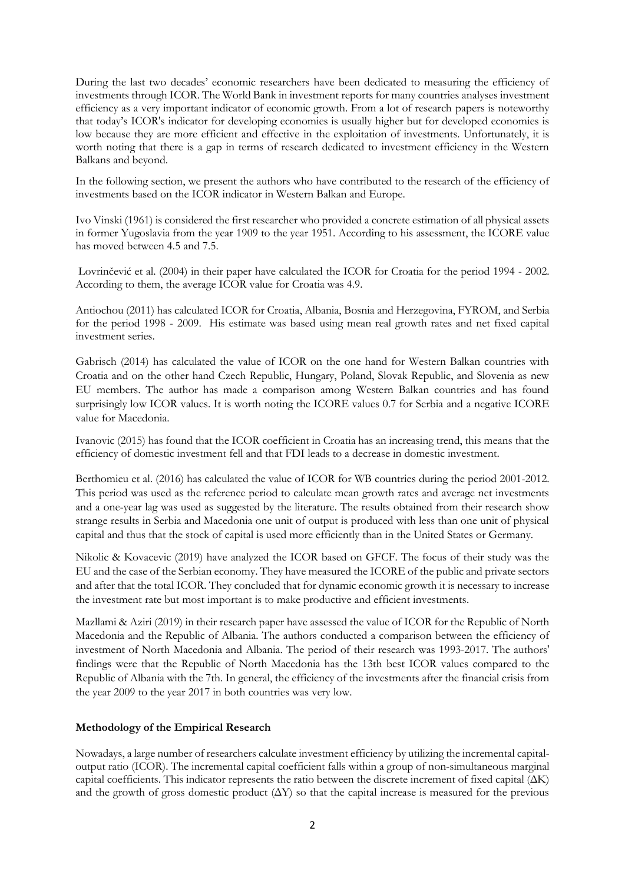During the last two decades' economic researchers have been dedicated to measuring the efficiency of investments through ICOR. The World Bank in investment reports for many countries analyses investment efficiency as a very important indicator of economic growth. From a lot of research papers is noteworthy that today's ICOR's indicator for developing economies is usually higher but for developed economies is low because they are more efficient and effective in the exploitation of investments. Unfortunately, it is worth noting that there is a gap in terms of research dedicated to investment efficiency in the Western Balkans and beyond.

In the following section, we present the authors who have contributed to the research of the efficiency of investments based on the ICOR indicator in Western Balkan and Europe.

Ivo Vinski (1961) is considered the first researcher who provided a concrete estimation of all physical assets in former Yugoslavia from the year 1909 to the year 1951. According to his assessment, the ICORE value has moved between 4.5 and 7.5.

Lovrinčević et al. (2004) in their paper have calculated the ICOR for Croatia for the period 1994 - 2002. According to them, the average ICOR value for Croatia was 4.9.

Antiochou (2011) has calculated ICOR for Croatia, Albania, Bosnia and Herzegovina, FYROM, and Serbia for the period 1998 - 2009. His estimate was based using mean real growth rates and net fixed capital investment series.

Gabrisch (2014) has calculated the value of ICOR on the one hand for Western Balkan countries with Croatia and on the other hand Czech Republic, Hungary, Poland, Slovak Republic, and Slovenia as new EU members. The author has made a comparison among Western Balkan countries and has found surprisingly low ICOR values. It is worth noting the ICORE values 0.7 for Serbia and a negative ICORE value for Macedonia.

Ivanovic (2015) has found that the ICOR coefficient in Croatia has an increasing trend, this means that the efficiency of domestic investment fell and that FDI leads to a decrease in domestic investment.

Berthomieu et al. (2016) has calculated the value of ICOR for WB countries during the period 2001-2012. This period was used as the reference period to calculate mean growth rates and average net investments and a one-year lag was used as suggested by the literature. The results obtained from their research show strange results in Serbia and Macedonia one unit of output is produced with less than one unit of physical capital and thus that the stock of capital is used more efficiently than in the United States or Germany.

Nikolic & Kovacevic (2019) have analyzed the ICOR based on GFCF. The focus of their study was the EU and the case of the Serbian economy. They have measured the ICORE of the public and private sectors and after that the total ICOR. They concluded that for dynamic economic growth it is necessary to increase the investment rate but most important is to make productive and efficient investments.

Mazllami & Aziri (2019) in their research paper have assessed the value of ICOR for the Republic of North Macedonia and the Republic of Albania. The authors conducted a comparison between the efficiency of investment of North Macedonia and Albania. The period of their research was 1993-2017. The authors' findings were that the Republic of North Macedonia has the 13th best ICOR values compared to the Republic of Albania with the 7th. In general, the efficiency of the investments after the financial crisis from the year 2009 to the year 2017 in both countries was very low.

## **Methodology of the Empirical Research**

Nowadays, a large number of researchers calculate investment efficiency by utilizing the incremental capitaloutput ratio (ICOR). The incremental capital coefficient falls within a group of non-simultaneous marginal capital coefficients. This indicator represents the ratio between the discrete increment of fixed capital (ΔK) and the growth of gross domestic product  $(\Delta Y)$  so that the capital increase is measured for the previous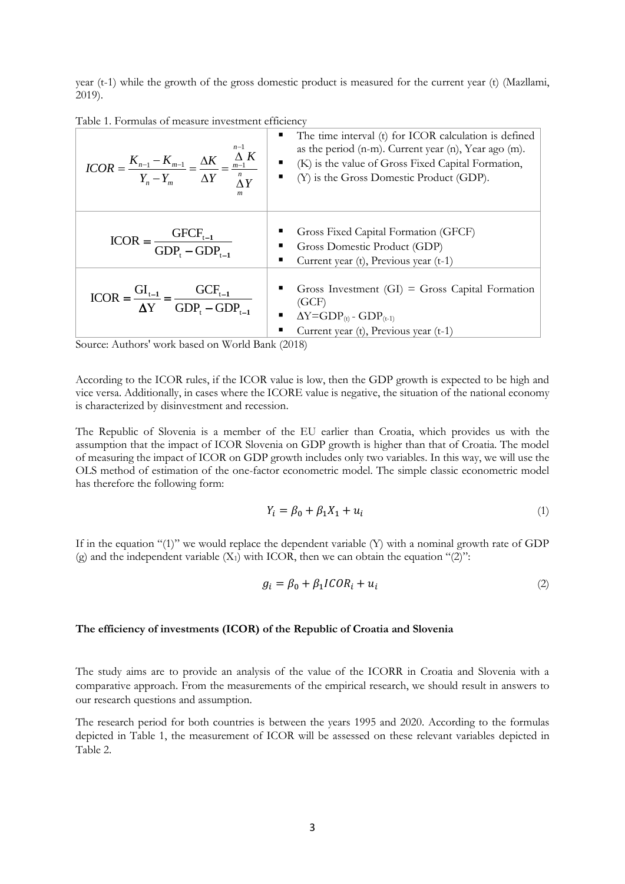year (t-1) while the growth of the gross domestic product is measured for the current year (t) (Mazllami, 2019).

| Table 1. Formulas of measure investment efficiency |  |  |
|----------------------------------------------------|--|--|
|                                                    |  |  |

| $n-1$<br>$ICOR = \frac{K_{n-1} - K_{m-1}}{Y_n - Y_m} = \frac{\Delta K}{\Delta Y} = \frac{\frac{\Delta K}{m-1}}{N}$<br>$\boldsymbol{m}$ | The time interval (t) for ICOR calculation is defined<br>as the period (n-m). Current year (n), Year ago (m).<br>$\bullet$ (K) is the value of Gross Fixed Capital Formation,<br>$\bullet$ (Y) is the Gross Domestic Product (GDP). |
|----------------------------------------------------------------------------------------------------------------------------------------|-------------------------------------------------------------------------------------------------------------------------------------------------------------------------------------------------------------------------------------|
| $\text{ICOR} = \frac{\text{GFCF}_{t-1}}{\text{GDP}_{t} - \text{GDP}_{t-1}}$                                                            | Gross Fixed Capital Formation (GFCF)<br>Gross Domestic Product (GDP)<br>Current year (t), Previous year (t-1)                                                                                                                       |
| $ICOR = \frac{GI_{t-1}}{\Delta Y} = \frac{GCF_{t-1}}{GDP_t - GDP_{t-1}}$                                                               | Gross Investment $(GI) = Gross$ Capital Formation<br>(GCF)<br>$\Delta Y = GDP_{(t)} - GDP_{(t-1)}$<br>Current year (t), Previous year (t-1)                                                                                         |

Source: Authors' work based on World Bank (2018)

According to the ICOR rules, if the ICOR value is low, then the GDP growth is expected to be high and vice versa. Additionally, in cases where the ICORE value is negative, the situation of the national economy is characterized by disinvestment and recession.

The Republic of Slovenia is a member of the EU earlier than Croatia, which provides us with the assumption that the impact of ICOR Slovenia on GDP growth is higher than that of Croatia. The model of measuring the impact of ICOR on GDP growth includes only two variables. In this way, we will use the OLS method of estimation of the one-factor econometric model. The simple classic econometric model has therefore the following form:

$$
Y_i = \beta_0 + \beta_1 X_1 + u_i \tag{1}
$$

If in the equation "(1)" we would replace the dependent variable (Y) with a nominal growth rate of GDP (g) and the independent variable  $(X_1)$  with ICOR, then we can obtain the equation "(2)":

$$
g_i = \beta_0 + \beta_1 ICOR_i + u_i \tag{2}
$$

#### **The efficiency of investments (ICOR) of the Republic of Croatia and Slovenia**

The study aims are to provide an analysis of the value of the ICORR in Croatia and Slovenia with a comparative approach. From the measurements of the empirical research, we should result in answers to our research questions and assumption.

The research period for both countries is between the years 1995 and 2020. According to the formulas depicted in Table 1, the measurement of ICOR will be assessed on these relevant variables depicted in Table 2.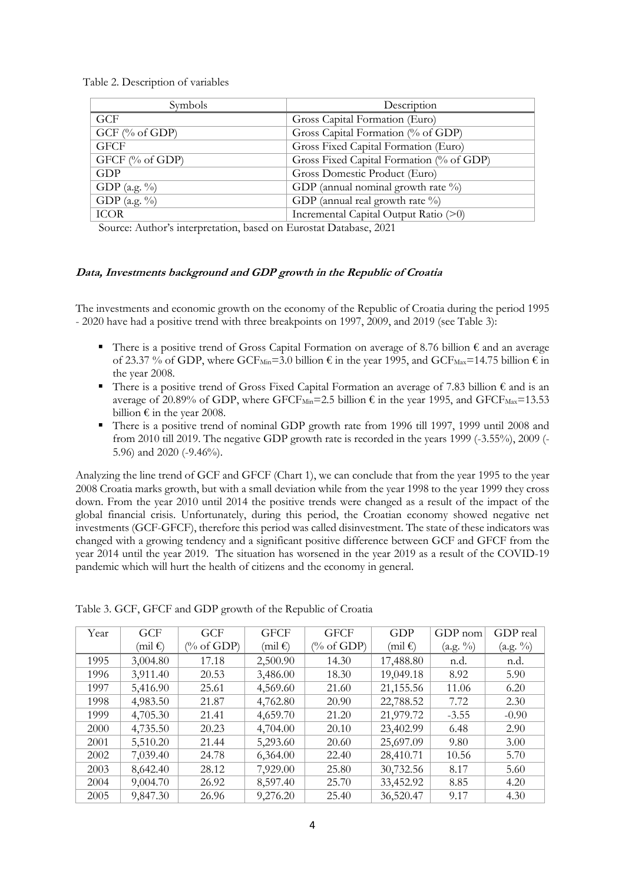Table 2. Description of variables

| Gross Capital Formation (Euro)<br>Gross Capital Formation (% of GDP) |
|----------------------------------------------------------------------|
|                                                                      |
|                                                                      |
| Gross Fixed Capital Formation (Euro)                                 |
| Gross Fixed Capital Formation (% of GDP)                             |
| Gross Domestic Product (Euro)                                        |
| GDP (annual nominal growth rate $\%$ )                               |
| GDP (annual real growth rate %)                                      |
| Incremental Capital Output Ratio (>0)                                |
| $C = A A$ $A$                                                        |

Source: Author's interpretation, based on Eurostat Database, 2021

#### **Data, Investments background and GDP growth in the Republic of Croatia**

The investments and economic growth on the economy of the Republic of Croatia during the period 1995 - 2020 have had a positive trend with three breakpoints on 1997, 2009, and 2019 (see Table 3):

- There is a positive trend of Gross Capital Formation on average of 8.76 billion € and an average of 23.37 % of GDP, where GCF<sub>Min</sub>=3.0 billion  $\epsilon$  in the year 1995, and GCF<sub>Max</sub>=14.75 billion  $\epsilon$  in the year 2008.
- There is a positive trend of Gross Fixed Capital Formation an average of 7.83 billion € and is an average of 20.89% of GDP, where GFCF<sub>Min</sub>=2.5 billion  $\epsilon$  in the year 1995, and GFCF<sub>Max</sub>=13.53 billion  $\epsilon$  in the year 2008.
- There is a positive trend of nominal GDP growth rate from 1996 till 1997, 1999 until 2008 and from 2010 till 2019. The negative GDP growth rate is recorded in the years 1999 (-3.55%), 2009 (- 5.96) and 2020 (-9.46%).

Analyzing the line trend of GCF and GFCF (Chart 1), we can conclude that from the year 1995 to the year 2008 Croatia marks growth, but with a small deviation while from the year 1998 to the year 1999 they cross down. From the year 2010 until 2014 the positive trends were changed as a result of the impact of the global financial crisis. Unfortunately, during this period, the Croatian economy showed negative net investments (GCF-GFCF), therefore this period was called disinvestment. The state of these indicators was changed with a growing tendency and a significant positive difference between GCF and GFCF from the year 2014 until the year 2019. The situation has worsened in the year 2019 as a result of the COVID-19 pandemic which will hurt the health of citizens and the economy in general.

| Year | <b>GCF</b>        | <b>GCF</b>   | <b>GFCF</b>       | <b>GFCF</b>           | GDP                 | $GDP$ nom | GDP real |
|------|-------------------|--------------|-------------------|-----------------------|---------------------|-----------|----------|
|      | (mil $\epsilon$ ) | $\%$ of GDP) | (mil $\epsilon$ ) | $(\% \text{ of GDP})$ | $(mil \mathcal{E})$ | (a.g. %)  | (a.g. %) |
| 1995 | 3,004.80          | 17.18        | 2,500.90          | 14.30                 | 17,488.80           | n.d.      | n.d.     |
| 1996 | 3,911.40          | 20.53        | 3,486.00          | 18.30                 | 19,049.18           | 8.92      | 5.90     |
| 1997 | 5,416.90          | 25.61        | 4,569.60          | 21.60                 | 21,155.56           | 11.06     | 6.20     |
| 1998 | 4,983.50          | 21.87        | 4,762.80          | 20.90                 | 22,788.52           | 7.72      | 2.30     |
| 1999 | 4,705.30          | 21.41        | 4,659.70          | 21.20                 | 21,979.72           | $-3.55$   | $-0.90$  |
| 2000 | 4,735.50          | 20.23        | 4,704.00          | 20.10                 | 23,402.99           | 6.48      | 2.90     |
| 2001 | 5,510.20          | 21.44        | 5,293.60          | 20.60                 | 25,697.09           | 9.80      | 3.00     |
| 2002 | 7,039.40          | 24.78        | 6,364.00          | 22.40                 | 28,410.71           | 10.56     | 5.70     |
| 2003 | 8,642.40          | 28.12        | 7,929.00          | 25.80                 | 30,732.56           | 8.17      | 5.60     |
| 2004 | 9,004.70          | 26.92        | 8,597.40          | 25.70                 | 33,452.92           | 8.85      | 4.20     |
| 2005 | 9,847.30          | 26.96        | 9,276.20          | 25.40                 | 36,520.47           | 9.17      | 4.30     |

Table 3. GCF, GFCF and GDP growth of the Republic of Croatia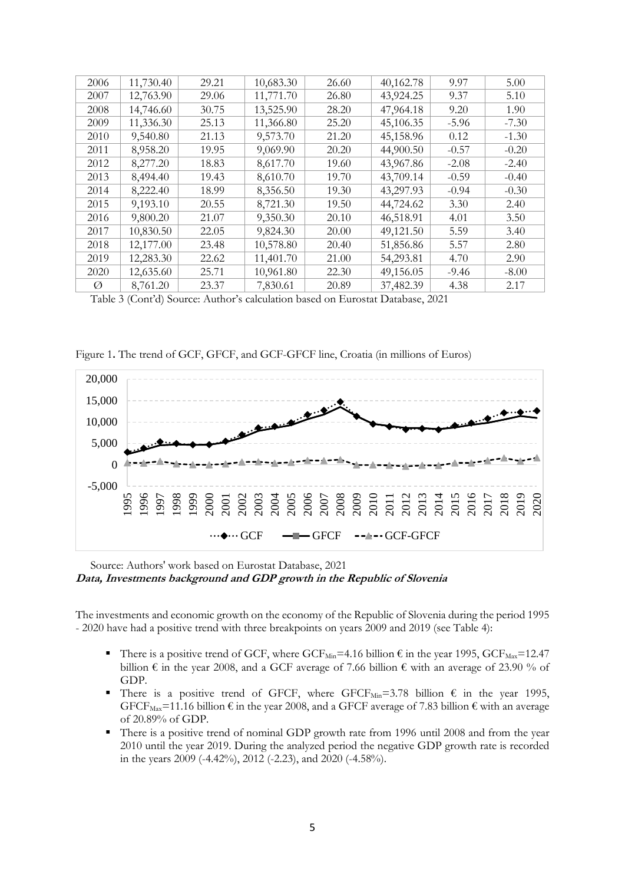| 2006 | 11,730.40 | 29.21 | 10,683.30 | 26.60 | 40,162.78 | 9.97    | 5.00    |
|------|-----------|-------|-----------|-------|-----------|---------|---------|
| 2007 | 12,763.90 | 29.06 | 11,771.70 | 26.80 | 43,924.25 | 9.37    | 5.10    |
| 2008 | 14,746.60 | 30.75 | 13,525.90 | 28.20 | 47,964.18 | 9.20    | 1.90    |
| 2009 | 11,336.30 | 25.13 | 11,366.80 | 25.20 | 45,106.35 | $-5.96$ | $-7.30$ |
| 2010 | 9,540.80  | 21.13 | 9,573.70  | 21.20 | 45,158.96 | 0.12    | $-1.30$ |
| 2011 | 8,958.20  | 19.95 | 9,069.90  | 20.20 | 44,900.50 | $-0.57$ | $-0.20$ |
| 2012 | 8,277.20  | 18.83 | 8,617.70  | 19.60 | 43,967.86 | $-2.08$ | $-2.40$ |
| 2013 | 8,494.40  | 19.43 | 8,610.70  | 19.70 | 43,709.14 | $-0.59$ | $-0.40$ |
| 2014 | 8,222.40  | 18.99 | 8,356.50  | 19.30 | 43,297.93 | $-0.94$ | $-0.30$ |
| 2015 | 9,193.10  | 20.55 | 8,721.30  | 19.50 | 44,724.62 | 3.30    | 2.40    |
| 2016 | 9,800.20  | 21.07 | 9,350.30  | 20.10 | 46,518.91 | 4.01    | 3.50    |
| 2017 | 10,830.50 | 22.05 | 9,824.30  | 20.00 | 49,121.50 | 5.59    | 3.40    |
| 2018 | 12,177.00 | 23.48 | 10,578.80 | 20.40 | 51,856.86 | 5.57    | 2.80    |
| 2019 | 12,283.30 | 22.62 | 11,401.70 | 21.00 | 54,293.81 | 4.70    | 2.90    |
| 2020 | 12,635.60 | 25.71 | 10,961.80 | 22.30 | 49,156.05 | $-9.46$ | $-8.00$ |
| Ø    | 8,761.20  | 23.37 | 7,830.61  | 20.89 | 37,482.39 | 4.38    | 2.17    |

Table 3 (Cont'd) Source: Author's calculation based on Eurostat Database, 2021

Figure 1**.** The trend of GCF, GFCF, and GCF-GFCF line, Croatia (in millions of Euros)



Source: Authors' work based on Eurostat Database, 2021 **Data, Investments background and GDP growth in the Republic of Slovenia**

The investments and economic growth on the economy of the Republic of Slovenia during the period 1995 - 2020 have had a positive trend with three breakpoints on years 2009 and 2019 (see Table 4):

- There is a positive trend of GCF, where  $GCF_{Min} = 4.16$  billion  $\epsilon$  in the year 1995,  $GCF_{Max} = 12.47$ billion  $\epsilon$  in the year 2008, and a GCF average of 7.66 billion  $\epsilon$  with an average of 23.90 % of GDP.
- There is a positive trend of GFCF, where GFCF<sub>Min</sub>=3.78 billion  $\epsilon$  in the year 1995, GFCF<sub>Max</sub>=11.16 billion  $\epsilon$  in the year 2008, and a GFCF average of 7.83 billion  $\epsilon$  with an average of 20.89% of GDP.
- There is a positive trend of nominal GDP growth rate from 1996 until 2008 and from the year 2010 until the year 2019. During the analyzed period the negative GDP growth rate is recorded in the years 2009 (-4.42%), 2012 (-2.23), and 2020 (-4.58%).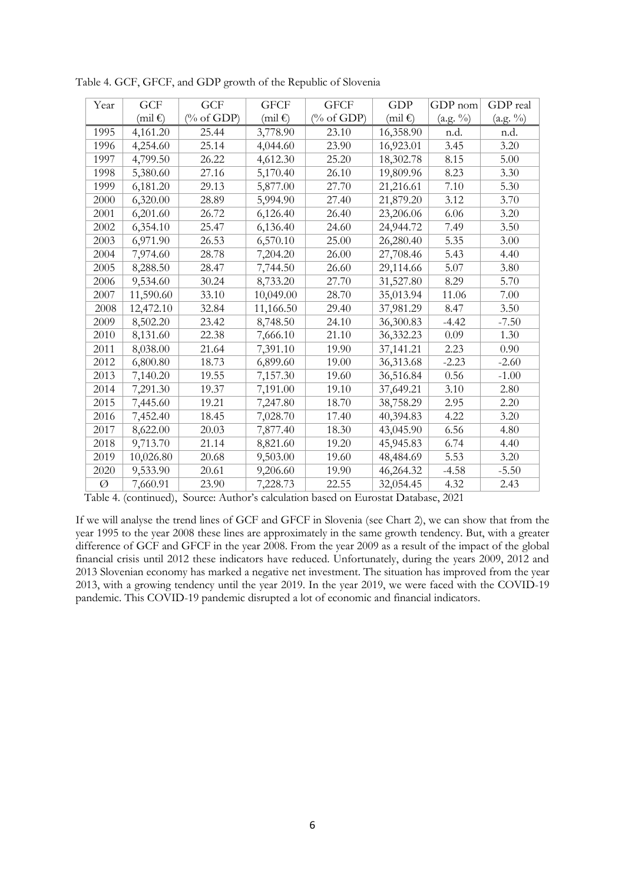| Year | GCF       | GCF                   | <b>GFCF</b> | <b>GFCF</b>           | <b>GDP</b> | GDP nom  | GDP real |
|------|-----------|-----------------------|-------------|-----------------------|------------|----------|----------|
|      | (mil€)    | $(\% \text{ of GDP})$ | (mil€)      | $(\% \text{ of GDP})$ | (mil€)     | (a.g. %) | (a.g. %) |
| 1995 | 4,161.20  | 25.44                 | 3,778.90    | 23.10                 | 16,358.90  | n.d.     | n.d.     |
| 1996 | 4,254.60  | 25.14                 | 4,044.60    | 23.90                 | 16,923.01  | 3.45     | 3.20     |
| 1997 | 4,799.50  | 26.22                 | 4,612.30    | 25.20                 | 18,302.78  | 8.15     | 5.00     |
| 1998 | 5,380.60  | 27.16                 | 5,170.40    | 26.10                 | 19,809.96  | 8.23     | 3.30     |
| 1999 | 6,181.20  | 29.13                 | 5,877.00    | 27.70                 | 21,216.61  | 7.10     | 5.30     |
| 2000 | 6,320.00  | 28.89                 | 5,994.90    | 27.40                 | 21,879.20  | 3.12     | 3.70     |
| 2001 | 6,201.60  | 26.72                 | 6,126.40    | 26.40                 | 23,206.06  | 6.06     | 3.20     |
| 2002 | 6,354.10  | 25.47                 | 6,136.40    | 24.60                 | 24,944.72  | 7.49     | 3.50     |
| 2003 | 6,971.90  | 26.53                 | 6,570.10    | 25.00                 | 26,280.40  | 5.35     | 3.00     |
| 2004 | 7,974.60  | 28.78                 | 7,204.20    | 26.00                 | 27,708.46  | 5.43     | 4.40     |
| 2005 | 8,288.50  | 28.47                 | 7,744.50    | 26.60                 | 29,114.66  | 5.07     | 3.80     |
| 2006 | 9,534.60  | 30.24                 | 8,733.20    | 27.70                 | 31,527.80  | 8.29     | 5.70     |
| 2007 | 11,590.60 | 33.10                 | 10,049.00   | 28.70                 | 35,013.94  | 11.06    | 7.00     |
| 2008 | 12,472.10 | 32.84                 | 11,166.50   | 29.40                 | 37,981.29  | 8.47     | 3.50     |
| 2009 | 8,502.20  | 23.42                 | 8,748.50    | 24.10                 | 36,300.83  | $-4.42$  | $-7.50$  |
| 2010 | 8,131.60  | 22.38                 | 7,666.10    | 21.10                 | 36,332.23  | 0.09     | 1.30     |
| 2011 | 8,038.00  | 21.64                 | 7,391.10    | 19.90                 | 37,141.21  | 2.23     | 0.90     |
| 2012 | 6,800.80  | 18.73                 | 6,899.60    | 19.00                 | 36,313.68  | $-2.23$  | $-2.60$  |
| 2013 | 7,140.20  | 19.55                 | 7,157.30    | 19.60                 | 36,516.84  | 0.56     | $-1.00$  |
| 2014 | 7,291.30  | 19.37                 | 7,191.00    | 19.10                 | 37,649.21  | 3.10     | 2.80     |
| 2015 | 7,445.60  | 19.21                 | 7,247.80    | 18.70                 | 38,758.29  | 2.95     | 2.20     |
| 2016 | 7,452.40  | 18.45                 | 7,028.70    | 17.40                 | 40,394.83  | 4.22     | 3.20     |
| 2017 | 8,622.00  | 20.03                 | 7,877.40    | 18.30                 | 43,045.90  | 6.56     | 4.80     |
| 2018 | 9,713.70  | 21.14                 | 8,821.60    | 19.20                 | 45,945.83  | 6.74     | 4.40     |
| 2019 | 10,026.80 | 20.68                 | 9,503.00    | 19.60                 | 48,484.69  | 5.53     | 3.20     |
| 2020 | 9,533.90  | 20.61                 | 9,206.60    | 19.90                 | 46,264.32  | $-4.58$  | $-5.50$  |
| Ø    | 7,660.91  | 23.90                 | 7,228.73    | 22.55                 | 32,054.45  | 4.32     | 2.43     |

Table 4. GCF, GFCF, and GDP growth of the Republic of Slovenia

Table 4. (continued), Source: Author's calculation based on Eurostat Database, 2021

If we will analyse the trend lines of GCF and GFCF in Slovenia (see Chart 2), we can show that from the year 1995 to the year 2008 these lines are approximately in the same growth tendency. But, with a greater difference of GCF and GFCF in the year 2008. From the year 2009 as a result of the impact of the global financial crisis until 2012 these indicators have reduced. Unfortunately, during the years 2009, 2012 and 2013 Slovenian economy has marked a negative net investment. The situation has improved from the year 2013, with a growing tendency until the year 2019. In the year 2019, we were faced with the COVID-19 pandemic. This COVID-19 pandemic disrupted a lot of economic and financial indicators.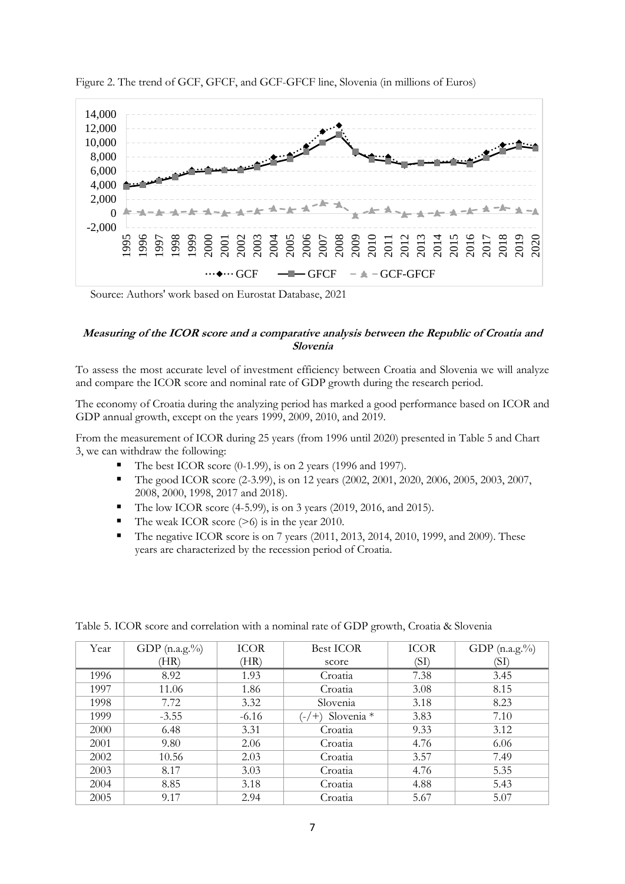



Source: Authors' work based on Eurostat Database, 2021

#### **Measuring of the ICOR score and a comparative analysis between the Republic of Croatia and Slovenia**

To assess the most accurate level of investment efficiency between Croatia and Slovenia we will analyze and compare the ICOR score and nominal rate of GDP growth during the research period.

The economy of Croatia during the analyzing period has marked a good performance based on ICOR and GDP annual growth, except on the years 1999, 2009, 2010, and 2019.

From the measurement of ICOR during 25 years (from 1996 until 2020) presented in Table 5 and Chart 3, we can withdraw the following:

- The best ICOR score (0-1.99), is on 2 years (1996 and 1997).
- The good ICOR score (2-3.99), is on 12 years (2002, 2001, 2020, 2006, 2005, 2003, 2007, 2008, 2000, 1998, 2017 and 2018).
- The low ICOR score (4-5.99), is on 3 years (2019, 2016, and 2015).
- The weak ICOR score  $(>6)$  is in the year 2010.
- The negative ICOR score is on 7 years (2011, 2013, 2014, 2010, 1999, and 2009). These years are characterized by the recession period of Croatia.

| Year | GDP $(n.a.g. %)$ | <b>ICOR</b> | <b>Best ICOR</b>   | <b>ICOR</b> | GDP $(n.a.g.%)$ |
|------|------------------|-------------|--------------------|-------------|-----------------|
|      | (HR)             | (HR)        | score              | (SI)        | (SF             |
| 1996 | 8.92             | 1.93        | Croatia            | 7.38        | 3.45            |
| 1997 | 11.06            | 1.86        | Croatia            | 3.08        | 8.15            |
| 1998 | 7.72             | 3.32        | Slovenia           | 3.18        | 8.23            |
| 1999 | $-3.55$          | $-6.16$     | $(-/+)$ Slovenia * | 3.83        | 7.10            |
| 2000 | 6.48             | 3.31        | Croatia            | 9.33        | 3.12            |
| 2001 | 9.80             | 2.06        | Croatia            | 4.76        | 6.06            |
| 2002 | 10.56            | 2.03        | Croatia            | 3.57        | 7.49            |
| 2003 | 8.17             | 3.03        | Croatia            | 4.76        | 5.35            |
| 2004 | 8.85             | 3.18        | Croatia            | 4.88        | 5.43            |
| 2005 | 9.17             | 2.94        | Croatia            | 5.67        | 5.07            |

Table 5. ICOR score and correlation with a nominal rate of GDP growth, Croatia & Slovenia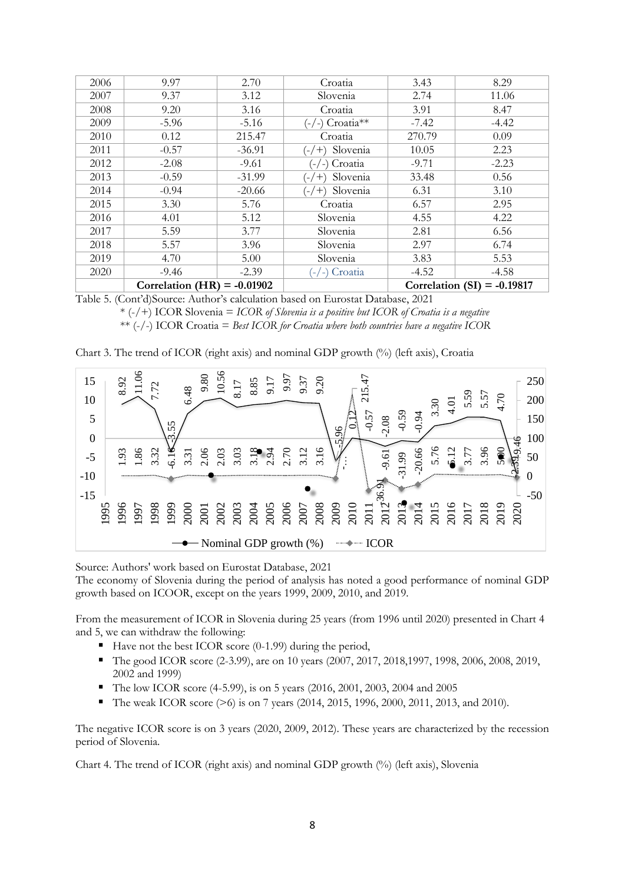| 2006 | 9.97                          | 2.70     | Croatia             | 3.43    | 8.29                          |
|------|-------------------------------|----------|---------------------|---------|-------------------------------|
| 2007 | 9.37                          | 3.12     | Slovenia            | 2.74    | 11.06                         |
| 2008 | 9.20                          | 3.16     | Croatia             | 3.91    | 8.47                          |
| 2009 | $-5.96$                       | $-5.16$  | $(-/-)$ Croatia**   | $-7.42$ | $-4.42$                       |
| 2010 | 0.12                          | 215.47   | Croatia             | 270.79  | 0.09                          |
| 2011 | $-0.57$                       | $-36.91$ | Slovenia<br>$(-/+)$ | 10.05   | 2.23                          |
| 2012 | $-2.08$                       | $-9.61$  | Croatia<br>$-/-$ )  | $-9.71$ | $-2.23$                       |
| 2013 | $-0.59$                       | $-31.99$ | Slovenia<br>$(-/+)$ | 33.48   | 0.56                          |
| 2014 | $-0.94$                       | $-20.66$ | Slovenia<br>$(-/+)$ | 6.31    | 3.10                          |
| 2015 | 3.30                          | 5.76     | Croatia             | 6.57    | 2.95                          |
| 2016 | 4.01                          | 5.12     | Slovenia            | 4.55    | 4.22                          |
| 2017 | 5.59                          | 3.77     | Slovenia            | 2.81    | 6.56                          |
| 2018 | 5.57                          | 3.96     | Slovenia            | 2.97    | 6.74                          |
| 2019 | 4.70                          | 5.00     | Slovenia            | 3.83    | 5.53                          |
| 2020 | $-9.46$                       | $-2.39$  | (-/-) Croatia       | $-4.52$ | $-4.58$                       |
|      | Correlation (HR) = $-0.01902$ |          |                     |         | Correlation (SI) = $-0.19817$ |

Table 5. (Cont'd)Source: Author's calculation based on Eurostat Database, 2021

\* (-/+) ICOR Slovenia = *ICOR of Slovenia is a positive but ICOR of Croatia is a negative* \*\* (-/-) ICOR Croatia = *Best ICOR for Croatia where both countries have a negative ICOR*

| Chart 3. The trend of ICOR (right axis) and nominal GDP growth (%) (left axis), Croatia |  |  |  |  |  |  |  |  |
|-----------------------------------------------------------------------------------------|--|--|--|--|--|--|--|--|
|-----------------------------------------------------------------------------------------|--|--|--|--|--|--|--|--|



Source: Authors' work based on Eurostat Database, 2021

The economy of Slovenia during the period of analysis has noted a good performance of nominal GDP growth based on ICOOR, except on the years 1999, 2009, 2010, and 2019.

From the measurement of ICOR in Slovenia during 25 years (from 1996 until 2020) presented in Chart 4 and 5, we can withdraw the following:

- $\blacksquare$  Have not the best ICOR score (0-1.99) during the period,
- The good ICOR score (2-3.99), are on 10 years (2007, 2017, 2018,1997, 1998, 2006, 2008, 2019, 2002 and 1999)
- The low ICOR score (4-5.99), is on 5 years (2016, 2001, 2003, 2004 and 2005
- The weak ICOR score (>6) is on 7 years (2014, 2015, 1996, 2000, 2011, 2013, and 2010).

The negative ICOR score is on 3 years (2020, 2009, 2012). These years are characterized by the recession period of Slovenia.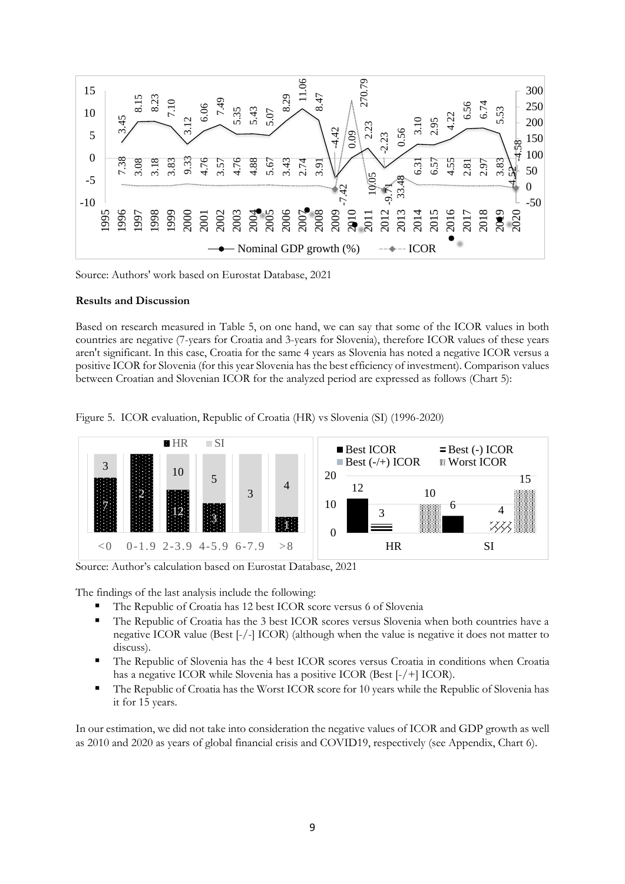

Source: Authors' work based on Eurostat Database, 2021

#### **Results and Discussion**

Based on research measured in Table 5, on one hand, we can say that some of the ICOR values in both countries are negative (7-years for Croatia and 3-years for Slovenia), therefore ICOR values of these years aren't significant. In this case, Croatia for the same 4 years as Slovenia has noted a negative ICOR versus a positive ICOR for Slovenia (for this year Slovenia has the best efficiency of investment). Comparison values between Croatian and Slovenian ICOR for the analyzed period are expressed as follows (Chart 5):

Figure 5. ICOR evaluation, Republic of Croatia (HR) vs Slovenia (SI) (1996-2020)



Source: Author's calculation based on Eurostat Database, 2021

The findings of the last analysis include the following:

- The Republic of Croatia has 12 best ICOR score versus 6 of Slovenia
- The Republic of Croatia has the 3 best ICOR scores versus Slovenia when both countries have a negative ICOR value (Best [-/-] ICOR) (although when the value is negative it does not matter to discuss).
- The Republic of Slovenia has the 4 best ICOR scores versus Croatia in conditions when Croatia has a negative ICOR while Slovenia has a positive ICOR (Best [-/+] ICOR).
- **•** The Republic of Croatia has the Worst ICOR score for 10 years while the Republic of Slovenia has it for 15 years.

In our estimation, we did not take into consideration the negative values of ICOR and GDP growth as well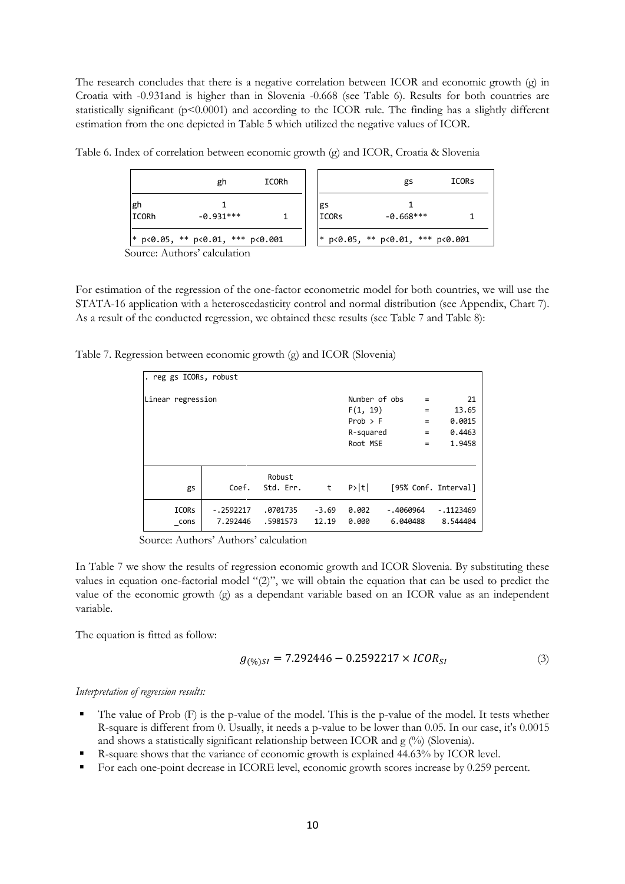The research concludes that there is a negative correlation between ICOR and economic growth (g) in Croatia with -0.931and is higher than in Slovenia -0.668 (see Table 6). Results for both countries are statistically significant ( $p<0.0001$ ) and according to the ICOR rule. The finding has a slightly different estimation from the one depicted in Table 5 which utilized the negative values of ICOR.

|                                                                      | gh          | ICORh |    |              | gs          | ICORS |  |  |
|----------------------------------------------------------------------|-------------|-------|----|--------------|-------------|-------|--|--|
| gh<br><b>I</b> CORh                                                  | $-0.931***$ |       | gs | <b>ICORS</b> | $-0.668***$ |       |  |  |
| * p<0.05, ** p<0.01, *** p<0.001<br>* p<0.05, ** p<0.01, *** p<0.001 |             |       |    |              |             |       |  |  |

Table 6. Index of correlation between economic growth (g) and ICOR, Croatia & Slovenia

For estimation of the regression of the one-factor econometric model for both countries, we will use the STATA-16 application with a heteroscedasticity control and normal distribution (see Appendix, Chart 7). As a result of the conducted regression, we obtained these results (see Table 7 and Table 8):

Table 7. Regression between economic growth (g) and ICOR (Slovenia)

| . reg gs ICORs, robust |             |           |         |               |           |                      |
|------------------------|-------------|-----------|---------|---------------|-----------|----------------------|
| Linear regression      |             |           |         | Number of obs | $\equiv$  | 21                   |
|                        |             |           |         | F(1, 19)      | $=$       | 13.65                |
|                        |             |           |         | Prob > F      | $\equiv$  | 0.0015               |
|                        |             |           |         | R-squared     | $\equiv$  | 0.4463               |
|                        |             |           |         | Root MSE      | $=$       | 1.9458               |
|                        |             |           |         |               |           |                      |
|                        |             | Robust    |         |               |           |                      |
| gs                     | Coef.       | Std. Err. | t       | P> t          |           | [95% Conf. Interval] |
| <b>ICORS</b>           | $-.2592217$ | .0701735  | $-3.69$ | 0.002         | -.4060964 | $-1123469$           |
| cons                   | 7.292446    | .5981573  | 12.19   | 0.000         | 6.040488  | 8.544404             |

Source: Authors' Authors' calculation

In Table 7 we show the results of regression economic growth and ICOR Slovenia. By substituting these values in equation one-factorial model "(2)", we will obtain the equation that can be used to predict the value of the economic growth (g) as a dependant variable based on an ICOR value as an independent variable.

The equation is fitted as follow:

$$
g_{(\%)SI} = 7.292446 - 0.2592217 \times ICOR_{SI}
$$
 (3)

#### *Interpretation of regression results:*

- $\blacksquare$  The value of Prob (F) is the p-value of the model. This is the p-value of the model. It tests whether R-square is different from 0. Usually, it needs a p-value to be lower than 0.05. In our case, it's 0.0015 and shows a statistically significant relationship between ICOR and g (%) (Slovenia).
- R-square shows that the variance of economic growth is explained 44.63% by ICOR level.
- For each one-point decrease in ICORE level, economic growth scores increase by 0.259 percent.

Source: Authors' calculation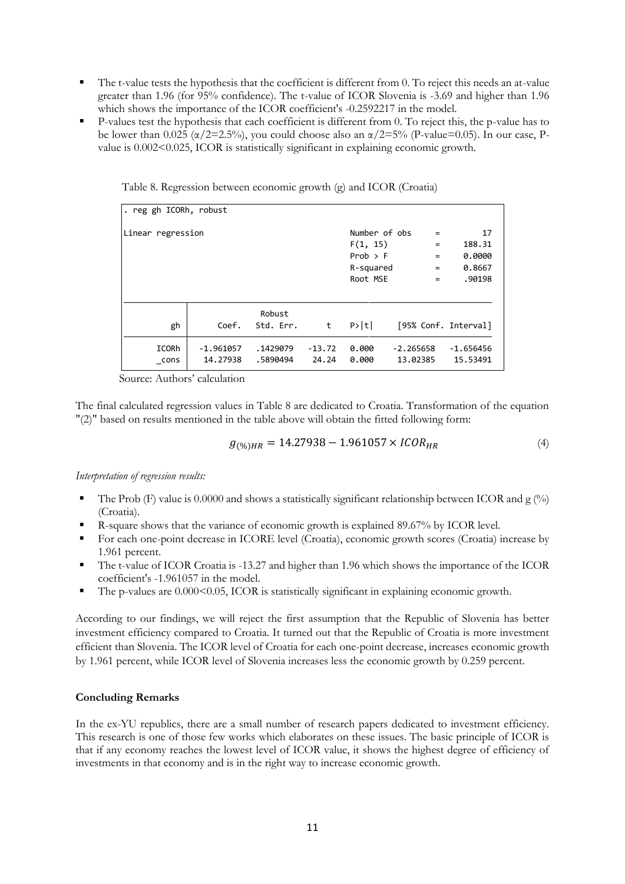- $\blacksquare$  The t-value tests the hypothesis that the coefficient is different from 0. To reject this needs an at-value greater than 1.96 (for 95% confidence). The t-value of ICOR Slovenia is -3.69 and higher than 1.96 which shows the importance of the ICOR coefficient's -0.2592217 in the model.
- P-values test the hypothesis that each coefficient is different from 0. To reject this, the p-value has to be lower than  $0.025 \ (\alpha/2=2.5\%)$ , you could choose also an  $\alpha/2=5\%$  (P-value=0.05). In our case, Pvalue is  $0.002<0.025$ , ICOR is statistically significant in explaining economic growth.

| . reg gh ICORh, robust |                         |                      |                   |                                       |                         |            |                         |
|------------------------|-------------------------|----------------------|-------------------|---------------------------------------|-------------------------|------------|-------------------------|
| Linear regression      |                         |                      |                   | Number of obs<br>F(1, 15)<br>Prob > F |                         | $=$<br>$=$ | 17<br>188.31<br>0.0000  |
|                        |                         |                      |                   | R-squared                             |                         | $\equiv$   | 0.8667                  |
|                        |                         |                      |                   | Root MSE                              |                         | $=$        | .90198                  |
| gh                     | Coef.                   | Robust<br>Std. Err.  | t                 | P> t                                  |                         |            | [95% Conf. Interval]    |
| ICORh<br>cons          | $-1.961057$<br>14.27938 | .1429079<br>.5890494 | $-13.72$<br>24.24 | 0.000<br>0.000                        | $-2.265658$<br>13.02385 |            | $-1.656456$<br>15.53491 |

Table 8. Regression between economic growth (g) and ICOR (Croatia)

Source: Authors' calculation

The final calculated regression values in Table 8 are dedicated to Croatia. Transformation of the equation "(2)" based on results mentioned in the table above will obtain the fitted following form:

$$
g_{(\%)HR} = 14.27938 - 1.961057 \times ICOR_{HR} \tag{4}
$$

*Interpretation of regression results:*

- The Prob (F) value is 0.0000 and shows a statistically significant relationship between ICOR and  $g$  (%) (Croatia).
- R-square shows that the variance of economic growth is explained 89.67% by ICOR level.
- For each one-point decrease in ICORE level (Croatia), economic growth scores (Croatia) increase by 1.961 percent.
- The t-value of ICOR Croatia is -13.27 and higher than 1.96 which shows the importance of the ICOR coefficient's -1.961057 in the model.
- The p-values are 0.000 < 0.05, ICOR is statistically significant in explaining economic growth.

According to our findings, we will reject the first assumption that the Republic of Slovenia has better investment efficiency compared to Croatia. It turned out that the Republic of Croatia is more investment efficient than Slovenia. The ICOR level of Croatia for each one-point decrease, increases economic growth by 1.961 percent, while ICOR level of Slovenia increases less the economic growth by 0.259 percent.

## **Concluding Remarks**

In the ex-YU republics, there are a small number of research papers dedicated to investment efficiency. This research is one of those few works which elaborates on these issues. The basic principle of ICOR is that if any economy reaches the lowest level of ICOR value, it shows the highest degree of efficiency of investments in that economy and is in the right way to increase economic growth.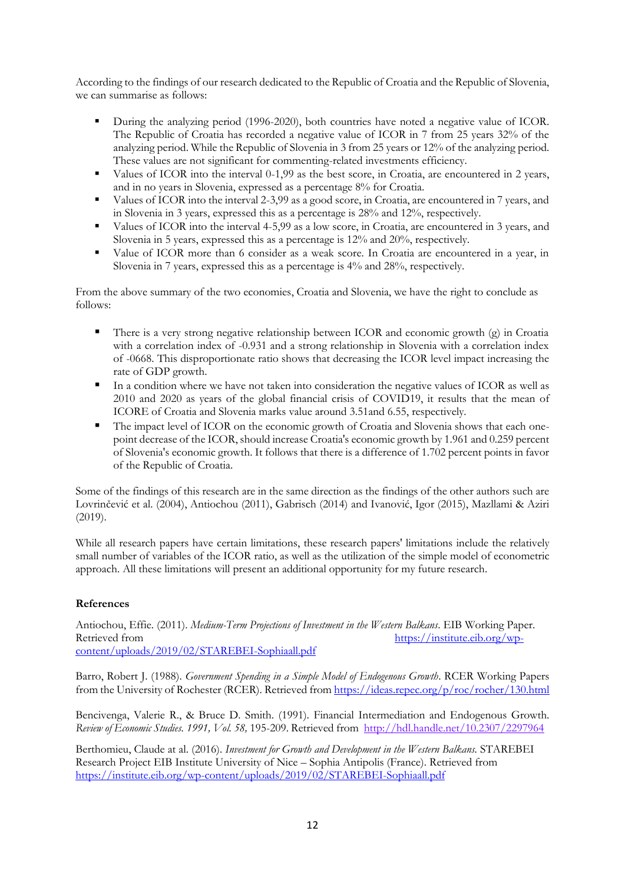According to the findings of our research dedicated to the Republic of Croatia and the Republic of Slovenia, we can summarise as follows:

- During the analyzing period (1996-2020), both countries have noted a negative value of ICOR. The Republic of Croatia has recorded a negative value of ICOR in 7 from 25 years 32% of the analyzing period. While the Republic of Slovenia in 3 from 25 years or 12% of the analyzing period. These values are not significant for commenting-related investments efficiency.
- Values of ICOR into the interval 0-1,99 as the best score, in Croatia, are encountered in 2 years, and in no years in Slovenia, expressed as a percentage 8% for Croatia.
- Values of ICOR into the interval 2-3,99 as a good score, in Croatia, are encountered in 7 years, and in Slovenia in 3 years, expressed this as a percentage is 28% and 12%, respectively.
- Values of ICOR into the interval 4-5,99 as a low score, in Croatia, are encountered in 3 years, and Slovenia in 5 years, expressed this as a percentage is 12% and 20%, respectively.
- Value of ICOR more than 6 consider as a weak score. In Croatia are encountered in a year, in Slovenia in 7 years, expressed this as a percentage is 4% and 28%, respectively.

From the above summary of the two economies, Croatia and Slovenia, we have the right to conclude as follows:

- **•** There is a very strong negative relationship between ICOR and economic growth (g) in Croatia with a correlation index of -0.931 and a strong relationship in Slovenia with a correlation index of -0668. This disproportionate ratio shows that decreasing the ICOR level impact increasing the rate of GDP growth.
- In a condition where we have not taken into consideration the negative values of ICOR as well as 2010 and 2020 as years of the global financial crisis of COVID19, it results that the mean of ICORE of Croatia and Slovenia marks value around 3.51and 6.55, respectively.
- The impact level of ICOR on the economic growth of Croatia and Slovenia shows that each onepoint decrease of the ICOR, should increase Croatia's economic growth by 1.961 and 0.259 percent of Slovenia's economic growth. It follows that there is a difference of 1.702 percent points in favor of the Republic of Croatia.

Some of the findings of this research are in the same direction as the findings of the other authors such are Lovrinčević et al. (2004), Antiochou (2011), Gabrisch (2014) and Ivanović, Igor (2015), Mazllami & Aziri (2019).

While all research papers have certain limitations, these research papers' limitations include the relatively small number of variables of the ICOR ratio, as well as the utilization of the simple model of econometric approach. All these limitations will present an additional opportunity for my future research.

# **References**

Antiochou, Effie. (2011). *Medium-Term Projections of Investment in the Western Balkans*. EIB Working Paper. Retrieved from [https://institute.eib.org/wp](https://institute.eib.org/wp-content/uploads/2019/02/STAREBEI-Sophiaall.pdf)[content/uploads/2019/02/STAREBEI-Sophiaall.pdf](https://institute.eib.org/wp-content/uploads/2019/02/STAREBEI-Sophiaall.pdf)

Barro, Robert J. (1988). *Government Spending in a Simple Model of Endogenous Growth*. RCER Working Papers from the University of Rochester (RCER). Retrieved from <https://ideas.repec.org/p/roc/rocher/130.html>

Bencivenga, Valerie R., & Bruce D. Smith. (1991). Financial Intermediation and Endogenous Growth. *Review of Economic Studies. 1991, Vol. 58,* 195-209. Retrieved from [http://hdl.handle.net/10.2307/2297964](https://econpapers.repec.org/scripts/redir.pf?u=http%3A%2F%2Fhdl.handle.net%2F10.2307%2F2297964;h=repec:oup:restud:v:58:y:1991:i:2:p:195-209.)

Berthomieu, Claude at al. (2016). *Investment for Growth and Development in the Western Balkans.* STAREBEI Research Project EIB Institute University of Nice – Sophia Antipolis (France). Retrieved from <https://institute.eib.org/wp-content/uploads/2019/02/STAREBEI-Sophiaall.pdf>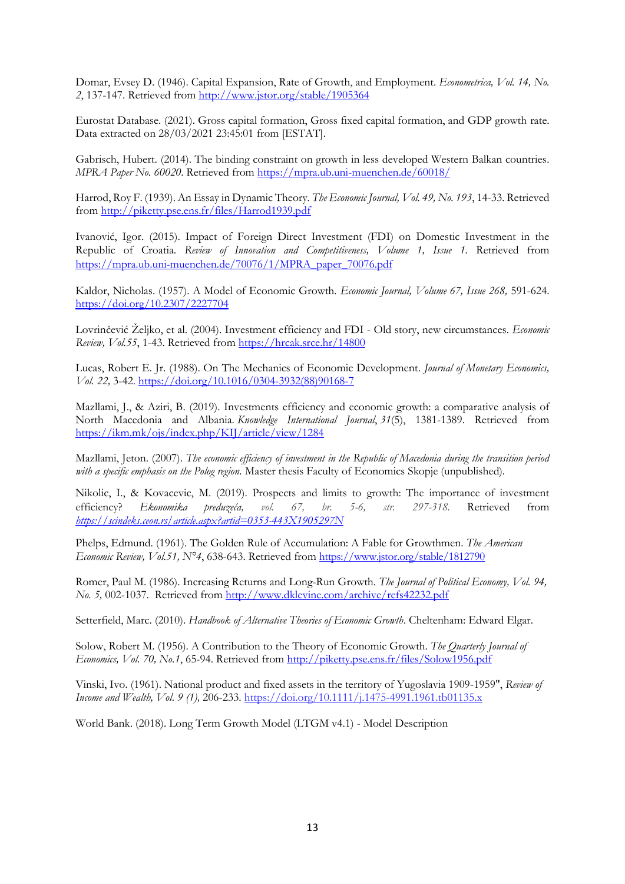Domar, Evsey D. (1946). Capital Expansion, Rate of Growth, and Employment. *Econometrica, Vol. 14, No. 2*, 137-147. Retrieved from <http://www.jstor.org/stable/1905364>

Eurostat Database. (2021). Gross capital formation, Gross fixed capital formation, and GDP growth rate. Data extracted on 28/03/2021 23:45:01 from [ESTAT].

Gabrisch, Hubert. (2014). The binding constraint on growth in less developed Western Balkan countries. *MPRA Paper No. 60020*. Retrieved from <https://mpra.ub.uni-muenchen.de/60018/>

Harrod, Roy F. (1939). An Essay in Dynamic Theory. *The Economic Journal, Vol. 49, No. 193*, 14-33. Retrieved from <http://piketty.pse.ens.fr/files/Harrod1939.pdf>

Ivanović, Igor. (2015). Impact of Foreign Direct Investment (FDI) on Domestic Investment in the Republic of Croatia. Review of Innovation and Competitiveness, Volume 1, Issue 1. Retrieved from [https://mpra.ub.uni-muenchen.de/70076/1/MPRA\\_paper\\_70076.pdf](https://mpra.ub.uni-muenchen.de/70076/1/MPRA_paper_70076.pdf)

Kaldor, Nicholas. (1957). A Model of Economic Growth. *Economic Journal, Volume 67, Issue 268,* 591-624. <https://doi.org/10.2307/2227704>

Lovrinčević Željko, et al. (2004). Investment efficiency and FDI - Old story, new circumstances. *Economic Review, Vol.55*, 1-43. Retrieved from<https://hrcak.srce.hr/14800>

Lucas, Robert E. Jr. (1988). On The Mechanics of Economic Development. *Journal of Monetary Economics, Vol. 22,* 3-42. [https://doi.org/10.1016/0304-3932\(88\)90168-7](https://doi.org/10.1016/0304-3932(88)90168-7)

Mazllami, J., & Aziri, B. (2019). Investments efficiency and economic growth: a comparative analysis of North Macedonia and Albania. *Knowledge International Journal*, *31*(5), 1381-1389. Retrieved from <https://ikm.mk/ojs/index.php/KIJ/article/view/1284>

Mazllami, Jeton. (2007). *The economic efficiency of investment in the Republic of Macedonia during the transition period with a specific emphasis on the Polog region.* Master thesis Faculty of Economics Skopje (unpublished)*.*

Nikolic, I., & Kovacevic, M. (2019). Prospects and limits to growth: The importance of investment efficiency? *[Ekonomika preduzeća](https://scindeks.ceon.rs/JournalDetails.aspx?issn=0353-443X), vol. 67, br. 5-6, str. 297-318.* Retrieved from *<https://scindeks.ceon.rs/article.aspx?artid=0353-443X1905297N>*

Phelps, Edmund. (1961). The Golden Rule of Accumulation: A Fable for Growthmen. *The American Economic Review, Vol.51, N°4*, 638-643. Retrieved from<https://www.jstor.org/stable/1812790>

Romer, Paul M. (1986). Increasing Returns and Long-Run Growth. *The Journal of Political Economy, Vol. 94, No. 5,* 002-1037. Retrieved from <http://www.dklevine.com/archive/refs42232.pdf>

Setterfield, Marc. (2010). *Handbook of Alternative Theories of Economic Growth*. Cheltenham: Edward Elgar.

Solow, Robert M. (1956). A Contribution to the Theory of Economic Growth. *The Quarterly Journal of Economics, Vol. 70, No.1*, 65-94. Retrieved from<http://piketty.pse.ens.fr/files/Solow1956.pdf>

Vinski, Ivo. (1961). National product and fixed assets in the territory of Yugoslavia 1909-1959", *Review of Income and Wealth, Vol. 9 (1),* 206-233. [https://doi.org/10.1111/j.1475-4991.1961.tb01135.x](https://econpapers.repec.org/scripts/redir.pf?u=https%3A%2F%2Fdoi.org%2F10.1111%2Fj.1475-4991.1961.tb01135.x;h=repec:bla:revinw:v:9:y:1961:i:1:p:206-233)

World Bank. (2018). Long Term Growth Model (LTGM v4.1) - Model Description